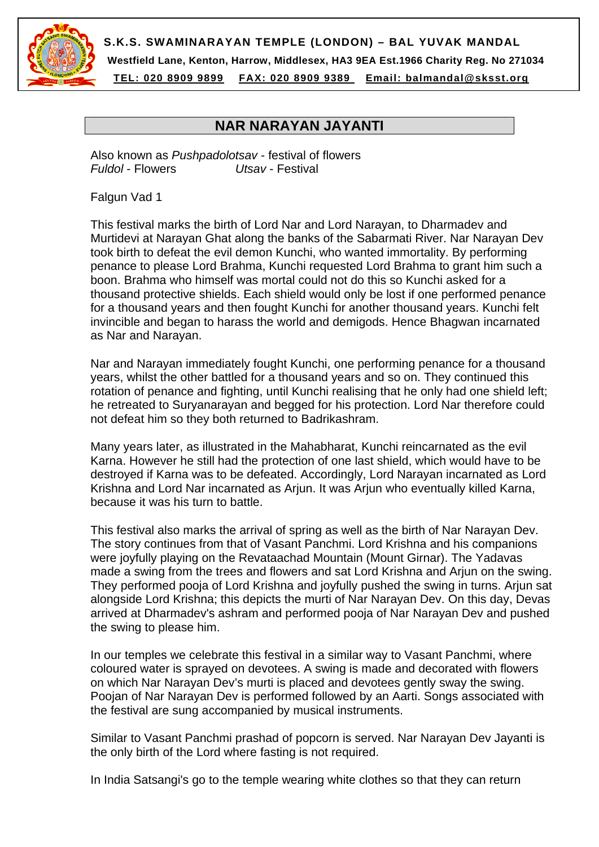

**S.K.S. SWAMINARAYAN TEMPLE (LONDON) – BAL YUVAK MANDAL** 

**Westfield Lane, Kenton, Harrow, Middlesex, HA3 9EA Est.1966 Charity Reg. No 271034** 

**TEL: 020 8909 9899 FAX: 020 8909 9389 Email: balmandal@sksst.org**

## **NAR NARAYAN JAYANTI**

Also known as *Pushpadolotsav* - festival of flowers *Fuldol* - Flowers *Utsav* - Festival

Falgun Vad 1

This festival marks the birth of Lord Nar and Lord Narayan, to Dharmadev and Murtidevi at Narayan Ghat along the banks of the Sabarmati River. Nar Narayan Dev took birth to defeat the evil demon Kunchi, who wanted immortality. By performing penance to please Lord Brahma, Kunchi requested Lord Brahma to grant him such a boon. Brahma who himself was mortal could not do this so Kunchi asked for a thousand protective shields. Each shield would only be lost if one performed penance for a thousand years and then fought Kunchi for another thousand years. Kunchi felt invincible and began to harass the world and demigods. Hence Bhagwan incarnated as Nar and Narayan.

Nar and Narayan immediately fought Kunchi, one performing penance for a thousand years, whilst the other battled for a thousand years and so on. They continued this rotation of penance and fighting, until Kunchi realising that he only had one shield left; he retreated to Suryanarayan and begged for his protection. Lord Nar therefore could not defeat him so they both returned to Badrikashram.

Many years later, as illustrated in the Mahabharat, Kunchi reincarnated as the evil Karna. However he still had the protection of one last shield, which would have to be destroyed if Karna was to be defeated. Accordingly, Lord Narayan incarnated as Lord Krishna and Lord Nar incarnated as Arjun. It was Arjun who eventually killed Karna, because it was his turn to battle.

This festival also marks the arrival of spring as well as the birth of Nar Narayan Dev. The story continues from that of Vasant Panchmi. Lord Krishna and his companions were joyfully playing on the Revataachad Mountain (Mount Girnar). The Yadavas made a swing from the trees and flowers and sat Lord Krishna and Arjun on the swing. They performed pooja of Lord Krishna and joyfully pushed the swing in turns. Arjun sat alongside Lord Krishna; this depicts the murti of Nar Narayan Dev. On this day, Devas arrived at Dharmadev's ashram and performed pooja of Nar Narayan Dev and pushed the swing to please him.

In our temples we celebrate this festival in a similar way to Vasant Panchmi, where coloured water is sprayed on devotees. A swing is made and decorated with flowers on which Nar Narayan Dev's murti is placed and devotees gently sway the swing. Poojan of Nar Narayan Dev is performed followed by an Aarti. Songs associated with the festival are sung accompanied by musical instruments.

Similar to Vasant Panchmi prashad of popcorn is served. Nar Narayan Dev Jayanti is the only birth of the Lord where fasting is not required.

In India Satsangi's go to the temple wearing white clothes so that they can return